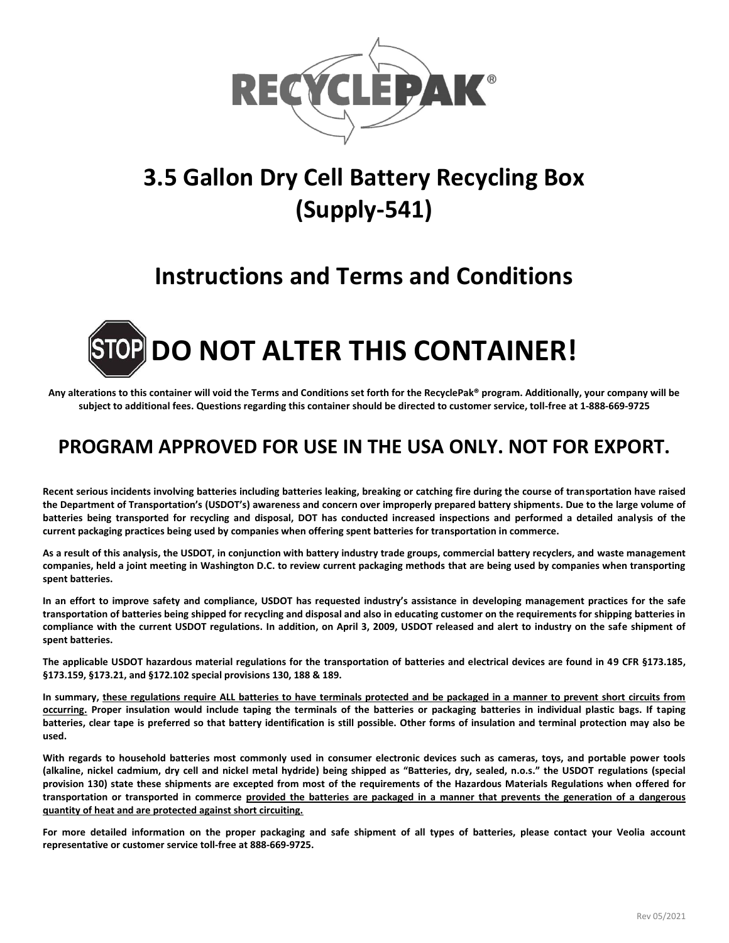

# **3.5 Gallon Dry Cell Battery Recycling Box (Supply-541)**

## **Instructions and Terms and Conditions**



**Any alterations to this container will void the Terms and Conditions set forth for the RecyclePak® program. Additionally, your company will be subject to additional fees. Questions regarding this container should be directed to customer service, toll-free at 1-888-669-9725**

### **PROGRAM APPROVED FOR USE IN THE USA ONLY. NOT FOR EXPORT.**

**Recent serious incidents involving batteries including batteries leaking, breaking or catching fire during the course of transportation have raised the Department of Transportation's (USDOT's) awareness and concern over improperly prepared battery shipments. Due to the large volume of batteries being transported for recycling and disposal, DOT has conducted increased inspections and performed a detailed analysis of the current packaging practices being used by companies when offering spent batteries for transportation in commerce.** 

**As a result of this analysis, the USDOT, in conjunction with battery industry trade groups, commercial battery recyclers, and waste management companies, held a joint meeting in Washington D.C. to review current packaging methods that are being used by companies when transporting spent batteries.** 

**In an effort to improve safety and compliance, USDOT has requested industry's assistance in developing management practices for the safe transportation of batteries being shipped for recycling and disposal and also in educating customer on the requirements for shipping batteries in compliance with the current USDOT regulations. In addition, on April 3, 2009, USDOT released and alert to industry on the safe shipment of spent batteries.** 

**The applicable USDOT hazardous material regulations for the transportation of batteries and electrical devices are found in 49 CFR §173.185, §173.159, §173.21, and §172.102 special provisions 130, 188 & 189.**

**In summary, these regulations require ALL batteries to have terminals protected and be packaged in a manner to prevent short circuits from occurring. Proper insulation would include taping the terminals of the batteries or packaging batteries in individual plastic bags. If taping batteries, clear tape is preferred so that battery identification is still possible. Other forms of insulation and terminal protection may also be used.** 

**With regards to household batteries most commonly used in consumer electronic devices such as cameras, toys, and portable power tools (alkaline, nickel cadmium, dry cell and nickel metal hydride) being shipped as "Batteries, dry, sealed, n.o.s." the USDOT regulations (special provision 130) state these shipments are excepted from most of the requirements of the Hazardous Materials Regulations when offered for transportation or transported in commerce provided the batteries are packaged in a manner that prevents the generation of a dangerous quantity of heat and are protected against short circuiting.** 

**For more detailed information on the proper packaging and safe shipment of all types of batteries, please contact your Veolia account representative or customer service toll-free at 888-669-9725.**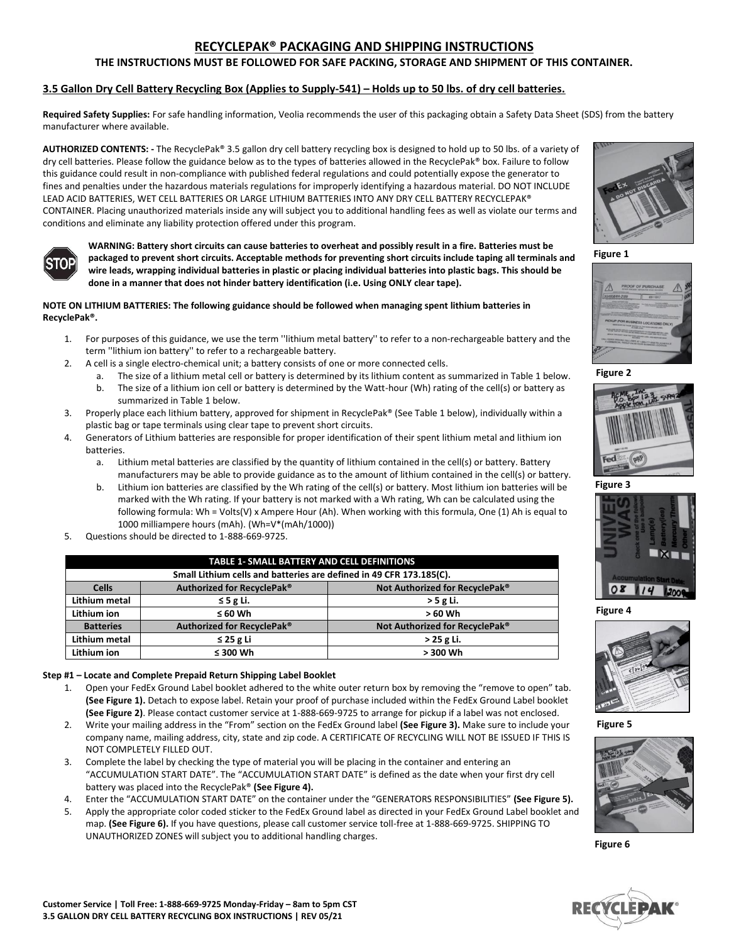#### **RECYCLEPAK® PACKAGING AND SHIPPING INSTRUCTIONS**

#### **THE INSTRUCTIONS MUST BE FOLLOWED FOR SAFE PACKING, STORAGE AND SHIPMENT OF THIS CONTAINER.**

#### **3.5 Gallon Dry Cell Battery Recycling Box (Applies to Supply-541) – Holds up to 50 lbs. of dry cell batteries.**

**Required Safety Supplies:** For safe handling information, Veolia recommends the user of this packaging obtain a Safety Data Sheet (SDS) from the battery manufacturer where available.

**AUTHORIZED CONTENTS: -** The RecyclePak® 3.5 gallon dry cell battery recycling box is designed to hold up to 50 lbs. of a variety of dry cell batteries. Please follow the guidance below as to the types of batteries allowed in the RecyclePak® box. Failure to follow this guidance could result in non-compliance with published federal regulations and could potentially expose the generator to fines and penalties under the hazardous materials regulations for improperly identifying a hazardous material. DO NOT INCLUDE LEAD ACID BATTERIES, WET CELL BATTERIES OR LARGE LITHIUM BATTERIES INTO ANY DRY CELL BATTERY RECYCLEPAK® CONTAINER. Placing unauthorized materials inside any will subject you to additional handling fees as well as violate our terms and conditions and eliminate any liability protection offered under this program.



**WARNING: Battery short circuits can cause batteries to overheat and possibly result in a fire. Batteries must be packaged to prevent short circuits. Acceptable methods for preventing short circuits include taping all terminals and wire leads, wrapping individual batteries in plastic or placing individual batteries into plastic bags. This should be done in a manner that does not hinder battery identification (i.e. Using ONLY clear tape).**

#### **NOTE ON LITHIUM BATTERIES: The following guidance should be followed when managing spent lithium batteries in RecyclePak®.**

- 1. For purposes of this guidance, we use the term ''lithium metal battery'' to refer to a non-rechargeable battery and the term ''lithium ion battery'' to refer to a rechargeable battery.
- 2. A cell is a single electro-chemical unit; a battery consists of one or more connected cells.
	- a. The size of a lithium metal cell or battery is determined by its lithium content as summarized in Table 1 below.
	- b. The size of a lithium ion cell or battery is determined by the Watt-hour (Wh) rating of the cell(s) or battery as summarized in Table 1 below.
- 3. Properly place each lithium battery, approved for shipment in RecyclePak® (See Table 1 below), individually within a plastic bag or tape terminals using clear tape to prevent short circuits.
- 4. Generators of Lithium batteries are responsible for proper identification of their spent lithium metal and lithium ion batteries.
	- a. Lithium metal batteries are classified by the quantity of lithium contained in the cell(s) or battery. Battery manufacturers may be able to provide guidance as to the amount of lithium contained in the cell(s) or battery.
	- Lithium ion batteries are classified by the Wh rating of the cell(s) or battery. Most lithium ion batteries will be marked with the Wh rating. If your battery is not marked with a Wh rating, Wh can be calculated using the following formula: Wh = Volts(V) x Ampere Hour (Ah). When working with this formula, One (1) Ah is equal to 1000 milliampere hours (mAh). (Wh=V\*(mAh/1000))
- Questions should be directed to 1-888-669-9725.

| <b>TABLE 1- SMALL BATTERY AND CELL DEFINITIONS</b>                  |                            |                                |  |  |
|---------------------------------------------------------------------|----------------------------|--------------------------------|--|--|
| Small Lithium cells and batteries are defined in 49 CFR 173.185(C). |                            |                                |  |  |
| <b>Cells</b>                                                        | Authorized for RecyclePak® | Not Authorized for RecyclePak® |  |  |
| Lithium metal                                                       | $\leq$ 5 g Li.             | $>$ 5 g Li.                    |  |  |
| Lithium ion                                                         | $\leq 60$ Wh               | > 60 Wh                        |  |  |
| <b>Batteries</b>                                                    | Authorized for RecyclePak® | Not Authorized for RecyclePak® |  |  |
| Lithium metal                                                       | $\leq$ 25 g Li             | > 25 g Li.                     |  |  |
| Lithium ion                                                         | $\leq$ 300 Wh              | > 300 Wh                       |  |  |

#### **Step #1 – Locate and Complete Prepaid Return Shipping Label Booklet**

- 1. Open your FedEx Ground Label booklet adhered to the white outer return box by removing the "remove to open" tab. **(See Figure 1).** Detach to expose label. Retain your proof of purchase included within the FedEx Ground Label booklet **(See Figure 2)**. Please contact customer service at 1-888-669-9725 to arrange for pickup if a label was not enclosed.
- 2. Write your mailing address in the "From" section on the FedEx Ground label **(See Figure 3).** Make sure to include your company name, mailing address, city, state and zip code. A CERTIFICATE OF RECYCLING WILL NOT BE ISSUED IF THIS IS NOT COMPLETELY FILLED OUT.
- 3. Complete the label by checking the type of material you will be placing in the container and entering an "ACCUMULATION START DATE". The "ACCUMULATION START DATE" is defined as the date when your first dry cell battery was placed into the RecyclePak® **(See Figure 4).**
- 4. Enter the "ACCUMULATION START DATE" on the container under the "GENERATORS RESPONSIBILITIES" **(See Figure 5).**
- 5. Apply the appropriate color coded sticker to the FedEx Ground label as directed in your FedEx Ground Label booklet and map. **(See Figure 6).** If you have questions, please call customer service toll-free at 1-888-669-9725. SHIPPING TO UNAUTHORIZED ZONES will subject you to additional handling charges.













**Figure 4**



**Figure 5**



**Figure 6**

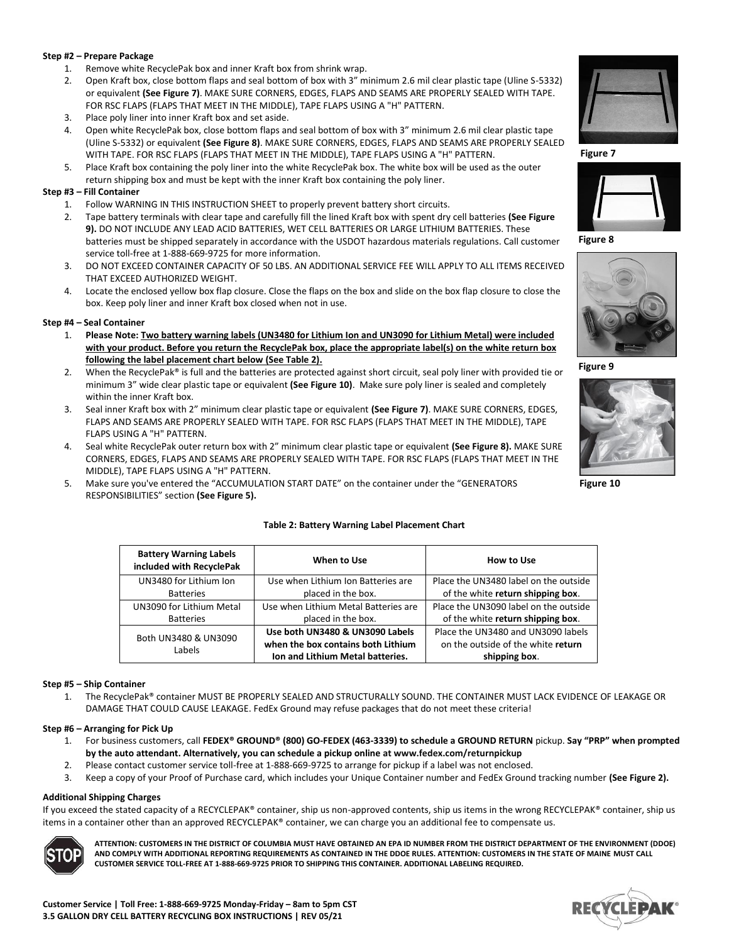#### **Step #2 – Prepare Package**

- 1. Remove white RecyclePak box and inner Kraft box from shrink wrap.
- 2. Open Kraft box, close bottom flaps and seal bottom of box with 3" minimum 2.6 mil clear plastic tape (Uline S-5332) or equivalent **(See Figure 7)**. MAKE SURE CORNERS, EDGES, FLAPS AND SEAMS ARE PROPERLY SEALED WITH TAPE. FOR RSC FLAPS (FLAPS THAT MEET IN THE MIDDLE), TAPE FLAPS USING A "H" PATTERN.
- 3. Place poly liner into inner Kraft box and set aside.
- 4. Open white RecyclePak box, close bottom flaps and seal bottom of box with 3" minimum 2.6 mil clear plastic tape (Uline S-5332) or equivalent **(See Figure 8)**. MAKE SURE CORNERS, EDGES, FLAPS AND SEAMS ARE PROPERLY SEALED WITH TAPE. FOR RSC FLAPS (FLAPS THAT MEET IN THE MIDDLE), TAPE FLAPS USING A "H" PATTERN.
- 5. Place Kraft box containing the poly liner into the white RecyclePak box. The white box will be used as the outer return shipping box and must be kept with the inner Kraft box containing the poly liner.

#### **Step #3 – Fill Container**

- 1. Follow WARNING IN THIS INSTRUCTION SHEET to properly prevent battery short circuits.
- 2. Tape battery terminals with clear tape and carefully fill the lined Kraft box with spent dry cell batteries **(See Figure 9).** DO NOT INCLUDE ANY LEAD ACID BATTERIES, WET CELL BATTERIES OR LARGE LITHIUM BATTERIES. These batteries must be shipped separately in accordance with the USDOT hazardous materials regulations. Call customer service toll-free at 1-888-669-9725 for more information.
- 3. DO NOT EXCEED CONTAINER CAPACITY OF 50 LBS. AN ADDITIONAL SERVICE FEE WILL APPLY TO ALL ITEMS RECEIVED THAT EXCEED AUTHORIZED WEIGHT.
- 4. Locate the enclosed yellow box flap closure. Close the flaps on the box and slide on the box flap closure to close the box. Keep poly liner and inner Kraft box closed when not in use.

#### **Step #4 – Seal Container**

- 1. **Please Note: Two battery warning labels (UN3480 for Lithium Ion and UN3090 for Lithium Metal) were included with your product. Before you return the RecyclePak box, place the appropriate label(s) on the white return box following the label placement chart below (See Table 2).**
- 2. When the RecyclePak® is full and the batteries are protected against short circuit, seal poly liner with provided tie or minimum 3" wide clear plastic tape or equivalent **(See Figure 10)**. Make sure poly liner is sealed and completely within the inner Kraft box.
- 3. Seal inner Kraft box with 2" minimum clear plastic tape or equivalent **(See Figure 7)**. MAKE SURE CORNERS, EDGES, FLAPS AND SEAMS ARE PROPERLY SEALED WITH TAPE. FOR RSC FLAPS (FLAPS THAT MEET IN THE MIDDLE), TAPE FLAPS USING A "H" PATTERN.
- 4. Seal white RecyclePak outer return box with 2" minimum clear plastic tape or equivalent **(See Figure 8).** MAKE SURE CORNERS, EDGES, FLAPS AND SEAMS ARE PROPERLY SEALED WITH TAPE. FOR RSC FLAPS (FLAPS THAT MEET IN THE MIDDLE), TAPE FLAPS USING A "H" PATTERN.
- 5. Make sure you've entered the "ACCUMULATION START DATE" on the container under the "GENERATORS RESPONSIBILITIES" section **(See Figure 5).**

#### **Table 2: Battery Warning Label Placement Chart**

| <b>Battery Warning Labels</b><br>included with RecyclePak | When to Use                          | How to Use                            |  |  |
|-----------------------------------------------------------|--------------------------------------|---------------------------------------|--|--|
| UN3480 for Lithium Ion                                    | Use when Lithium Ion Batteries are   | Place the UN3480 label on the outside |  |  |
| <b>Batteries</b>                                          | placed in the box.                   | of the white return shipping box.     |  |  |
| UN3090 for Lithium Metal                                  | Use when Lithium Metal Batteries are | Place the UN3090 label on the outside |  |  |
| <b>Batteries</b>                                          | placed in the box.                   | of the white return shipping box.     |  |  |
| Both UN3480 & UN3090                                      | Use both UN3480 & UN3090 Labels      | Place the UN3480 and UN3090 labels    |  |  |
| Labels                                                    | when the box contains both Lithium   | on the outside of the white return    |  |  |
|                                                           | Ion and Lithium Metal batteries.     | shipping box.                         |  |  |

#### **Step #5 – Ship Container**

1. The RecyclePak® container MUST BE PROPERLY SEALED AND STRUCTURALLY SOUND. THE CONTAINER MUST LACK EVIDENCE OF LEAKAGE OR DAMAGE THAT COULD CAUSE LEAKAGE. FedEx Ground may refuse packages that do not meet these criteria!

#### **Step #6 – Arranging for Pick Up**

- 1. For business customers, call **FEDEX® GROUND® (800) GO-FEDEX (463-3339) to schedule a GROUND RETURN** pickup. **Say "PRP" when prompted by the auto attendant. Alternatively, you can schedule a pickup online at www.fedex.com/returnpickup**
- 2. Please contact customer service toll-free at 1-888-669-9725 to arrange for pickup if a label was not enclosed.
- 3. Keep a copy of your Proof of Purchase card, which includes your Unique Container number and FedEx Ground tracking number **(See Figure 2).**

#### **Additional Shipping Charges**

If you exceed the stated capacity of a RECYCLEPAK® container, ship us non-approved contents, ship us items in the wrong RECYCLEPAK® container, ship us items in a container other than an approved RECYCLEPAK® container, we can charge you an additional fee to compensate us.



**ATTENTION: CUSTOMERS IN THE DISTRICT OF COLUMBIA MUST HAVE OBTAINED AN EPA ID NUMBER FROM THE DISTRICT DEPARTMENT OF THE ENVIRONMENT (DDOE) AND COMPLY WITH ADDITIONAL REPORTING REQUIREMENTS AS CONTAINED IN THE DDOE RULES. ATTENTION: CUSTOMERS IN THE STATE OF MAINE MUST CALL CUSTOMER SERVICE TOLL-FREE AT 1-888-669-9725 PRIOR TO SHIPPING THIS CONTAINER. ADDITIONAL LABELING REQUIRED.** 



**Figure 7**



**Figure 8**



**Figure 9**



**Figure 10**